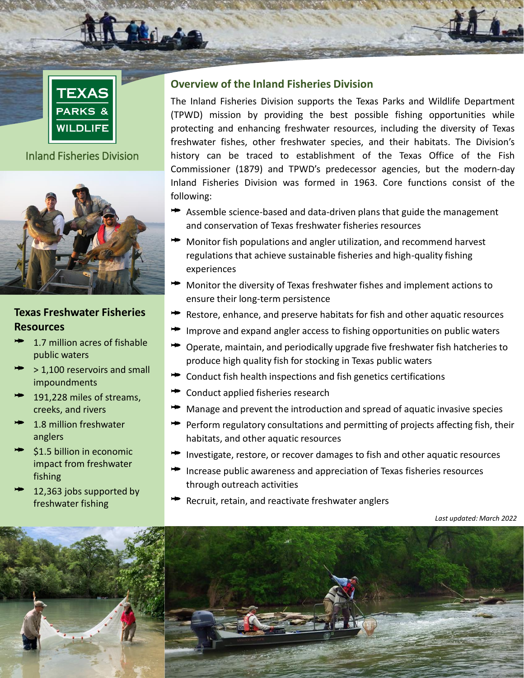

**TEXAS PARKS** 

## Inland Fisheries Division



### **Texas Freshwater Fisheries Resources**

- 1.7 million acres of fishable public waters
- > 1,100 reservoirs and small impoundments
- 191,228 miles of streams, creeks, and rivers
- 1.8 million freshwater anglers
- \$1.5 billion in economic impact from freshwater fishing
- 12,363 jobs supported by freshwater fishing

### **Overview of the Inland Fisheries Division**

The Inland Fisheries Division supports the Texas Parks and Wildlife Department (TPWD) mission by providing the best possible fishing opportunities while protecting and enhancing freshwater resources, including the diversity of Texas freshwater fishes, other freshwater species, and their habitats. The Division's history can be traced to establishment of the Texas Office of the Fish Commissioner (1879) and TPWD's predecessor agencies, but the modern-day Inland Fisheries Division was formed in 1963. Core functions consist of the following:

- Assemble science-based and data-driven plans that guide the management and conservation of Texas freshwater fisheries resources
- Monitor fish populations and angler utilization, and recommend harvest regulations that achieve sustainable fisheries and high-quality fishing experiences
- Monitor the diversity of Texas freshwater fishes and implement actions to ensure their long-term persistence
- Restore, enhance, and preserve habitats for fish and other aquatic resources
- Improve and expand angler access to fishing opportunities on public waters
- Operate, maintain, and periodically upgrade five freshwater fish hatcheries to produce high quality fish for stocking in Texas public waters
- Conduct fish health inspections and fish genetics certifications
- **►** Conduct applied fisheries research
- $\blacktriangleright$  Manage and prevent the introduction and spread of aquatic invasive species
- **Perform regulatory consultations and permitting of projects affecting fish, their** habitats, and other aquatic resources
- Investigate, restore, or recover damages to fish and other aquatic resources
- $\triangleq$  Increase public awareness and appreciation of Texas fisheries resources through outreach activities
- $\blacktriangleright$  Recruit, retain, and reactivate freshwater anglers

*Last updated: March 2022*